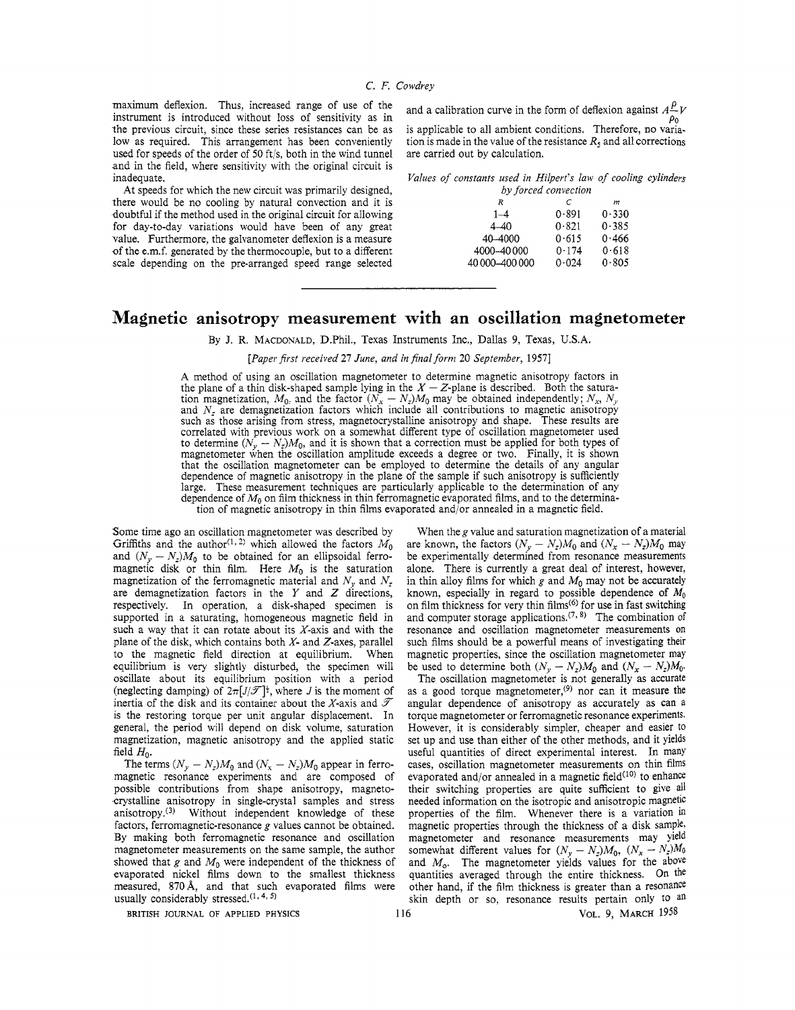maximum deflexion. Thus, increased range of use of the instrument is introduced without loss of sensitivity as in the previous circuit, since these series resistances can be as low as required. This arrangement has been conveniently used for speeds of the order of **50** ftjs, both in the wind tunnel and in the field, where sensitivity with the original circuit is inadequate.

At speeds for which the new circuit was primarily designed, there would be no cooling by natural convection and it is doubtful if the method used in the original circuit for allowing for day-to-day variations would have been of any great value. Furthermore, the galvanometer deflexion is a measure of the e.m.f. generated by the thermocouple, but to a different scale depending on the pre-arranged speed range selected

and a calibration curve in the form of deflexion against  $A^{\mathcal{P}}V$ 

is applicable to all ambient conditions. Therefore, no variation is made in the value of the resistance  $R_5$  and all corrections are carried out by calculation.

*Values of constants used in Hilpert's law of cooling cylinders* 

| by forced convection |       |       |  |
|----------------------|-------|-------|--|
| R                    | C     | m     |  |
| $1 - 4$              | 0.891 | 0.330 |  |
| $4 - 40$             | 0.821 | 0.385 |  |
| 40-4000              | 0.615 | 0.466 |  |
| 4000-40000           | 0.174 | 0.618 |  |
| 40 000 - 400 000     | 0.024 | 0.805 |  |
|                      |       |       |  |

# **Magnetic anisotropy measurement with an oscillation magnetometer**

By J. R. **MACDONALD,** D.Phil., Texas Instruments Inc., Dallas 9, Texas, USA.

*[Paper first received 21 June, and in final form* **20** *September,* **19571** 

**A** method of using an oscillation magnetometer to determine magnetic anisotropy factors in the plane of a thin disk-shaped sample lying in the  $X - Z$ -plane is described. Both the saturathe plane of a thin disk-shaped sample lying in the  $X - Z$ -plane is described. Both the saturation magnetization,  $M_0$ , and the factor  $(N_x - N_z)M_0$  may be obtained independently;  $N_x$ ,  $N_y$  and  $N_z$  are demagnetization fac such as those arising from stress, magnetocrystalline anisotropy and shape. These results are correlated with previous work on a somewhat different type of oscillation magnetometer used to determine  $(N_v - N_z)M_0$ , and it is shown that a correction must be applied for both types of magnetometer when the oscillation amplitude exceeds a degree or two. Finally, it is shown that the oscillation magnetometer can be employed to determine the details of any angular dependence of magnetic anisotropy in the plane of the sample if such anisotropy is sufficiently large. These measurement techniques are particularly applicable to the determination of any dependence of  $M_0$  on film thickness in thin ferromagnetic evaporated films, and to the determination of magnetic anisotropy in thin films evaporated and/or annealed in a magnetic field.

Some time ago an oscillation magnetometer was described by Griffiths and the author<sup>(1, 2)</sup> which allowed the factors  $M_0$ and  $(N_y - N_z)M_0$  to be obtained for an ellipsoidal ferromagnetic disk or thin film. Here  $M_0$  is the saturation magnetization of the ferromagnetic material and  $N_y$  and  $N_z$ are demagnetization factors in the *Y* and *Z* directions, respectively. In operation, a disk-shaped specimen is supported in a saturating, homogeneous magnetic field in such a way that it can rotate about its  $X$ -axis and with the plane of the disk, which contains both *X-* and Z-axes, parallel to the magnetic field direction at equilibrium. When equilibrium is very slightly disturbed, the specimen will oscillate about its equilibrium position with a period (neglecting damping) of  $2\pi\sqrt{J/\mathcal{T}}$ <sup>1</sup>, where *J* is the moment of inertia of the disk and its container about the X-axis and  $\mathscr T$ is the restoring torque per unit angular displacement. In general, the period will depend on disk volume, saturation magnetization, magnetic anisotropy and the applied static field *Ho.* 

The terms  $(N_v - N_z)M_0$  and  $(N_x - N_z)M_0$  appear in ferromagnetic resonance experiments and are composed of possible contributions from shape anisotropy, magnetocrystalline anisotropy in single-crystal samples and stress anisotropy.<sup>(3)</sup> Without independent knowledge of these factors, ferromagnetic-resonance g values cannot be obtained. By making both ferromagnetic resonance and oscillation magnetometer measurements on the same sample, the author showed that  $g$  and  $M_0$  were independent of the thickness of evaporated nickel films down to the smallest thickness measured, 870 Å, and that such evaporated films were usually considerably stressed.<sup>(1, 4, 5)</sup>

When the  $g$  value and saturation magnetization of a material are known, the factors  $(N_v - N_z)M_0$  and  $(N_x - N_z)M_0$  may be experimentally determined from resonance measurements alone. There is currently a great deal of interest, however, in thin alloy films for which g and  $M_0$  may not be accurately known, especially in regard to possible dependence of  $M_0$ on film thickness for very thin films<sup>(6)</sup> for use in fast switching and computer storage applications.<sup> $(7, 8)$ </sup> The combination of resonance and oscillation magnetometer measurements on such films should be a powerful means of investigating their magnetic properties, since the oscillation magnetometer may be used to determine both  $(N_y - N_z)M_0$  and  $(N_x - N_z)M_0$ .

The oscillation magnetometer is not generally as accurate as a good torque magnetometer,<sup>(9)</sup> nor can it measure the angular dependence of anisotropy as accurately as can a torque magnetometer or ferromagnetic resonance experiments. However, it is considerably simpler, cheaper and easier to set up and use than either of the other methods, and it yields useful quantities of direct experimental interest. In many cases, oscillation magnetometer measurements on thin films evaporated and/or annealed in a magnetic field $(10)$  to enhance their switching properties are quite sufficient to give *all*  needed information on the isotropic and anisotropic magnetic properties of the film. Whenever there is a variation *in*  magnetic properties through the thickness of a disk sample, magnetometer and resonance measurements may yield somewhat different values for  $(N_y - N_z)M_0$ ,  $(N_x - N_z)M_0$ and  $M_0$ . The magnetometer yields values for the above quantities averaged through the entire thickness. On the other hand, if the film thickness is greater than a resonance skin depth or so, resonance results pertain only to an

**BRITISH JOURNAL OF APPLIED PHYSICS 116 VOL.** *9,* **MARCH 1958**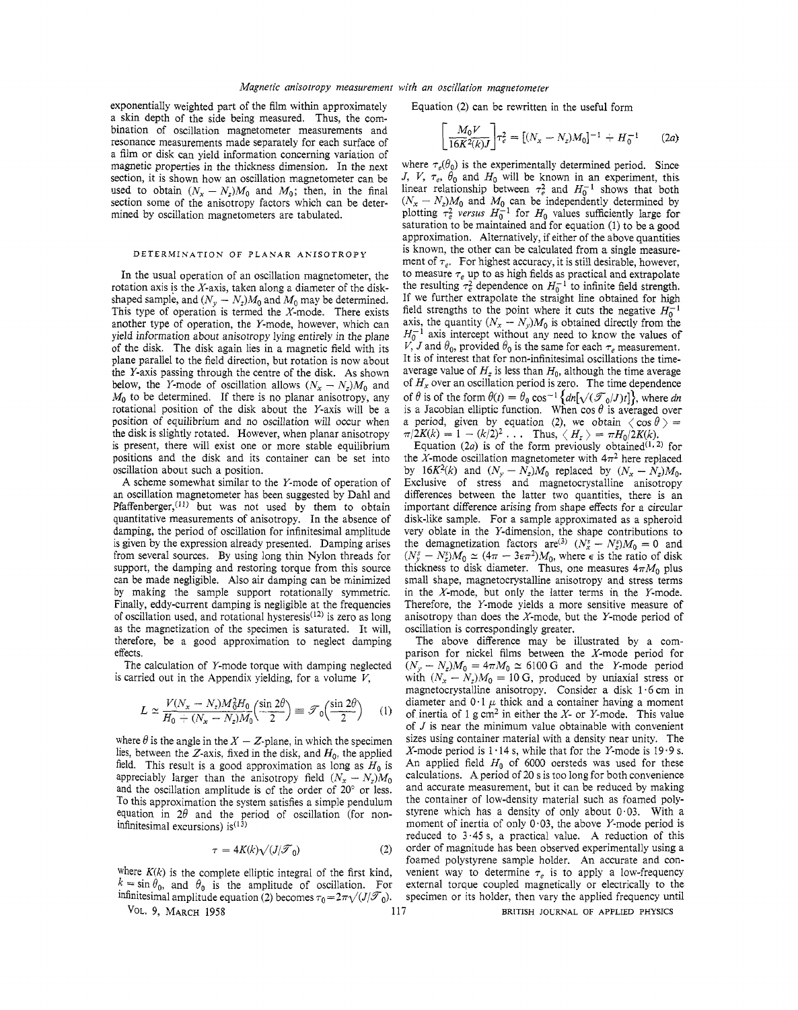exponentially weighted part of the film within approximately a skin depth of the side being measured. Thus, the combination of oscillation magnetometer measurements and resonance measurements made separately for each surface of a film or disk can yield information concerning variation of magnetic properties in the thickness dimension. In the next section, it is shown how an oscillation magnetometer can be used to obtain  $(N_x - N_z)M_0$  and  $M_0$ ; then, in the final section some of the anisotropy factors which can be determined by oscillation magnetometers are tabulated.

## DETERMINATION OF PLANAR **AKISOTROPY**

In the usual operation of an oscillation magnetometer, the rotation axis **is** the X-axis, taken along a diameter of the diskshaped sample, and  $(N_y - N_z)M_0$  and  $M_0$  may be determined. This type of operation is termed the  $X$ -mode. There exists another type of operation, the Y-mode, however, which can yield information about anisotropy lying entirely in the plane of the disk. The disk again lies in a magnetic field with its plane parallel to the field direction, but rotation is now about the Y-axis passing through the centre of the disk. As shown below, the Y-mode of oscillation allows  $(N_x - N_z)M_0$  and  $M_0$  to be determined. If there is no planar anisotropy, any rotational position of the disk about the Y-axis will be a position of equilibrium and no oscillation will occur when the disk is slightly rotated. However, when planar anisotropy is present, there will exist one or more stable equilibrium positions and the disk and its container can be set into oscillation about such a position.

A scheme somewhat similar to the Y-mode of operation of an oscillation magnetometer has been suggested by Dah1 and Pfaffenberger, $(11)$  but was not used by them to obtain quantitative measurements of anisotropy. In the absence of damping, the period of oscillation for infinitesimal amplitude is given by the expression already presented. Damping arises from several sources. By using long thin Nylon threads for support, the damping and restoring torque from this source can be made negligible. Also air damping can be minimized by making the sample support rotationally symmetric. Finally, eddy-current damping is negligible at the frequencies of oscillation used, and rotational hysteresis<sup> $(12)$ </sup> is zero as long as the magnetization of the specimen is saturated. It will, therefore, be a good approximation to neglect damping effects.

The calculation of Y-mode torque with damping neglected is carried out in the Appendix yielding, for a volume *V,* 

$$
L \simeq \frac{V(N_x - N_z)M_0^2 H_0}{H_0 + (N_x - N_z)M_0} \left(\frac{\sin 2\theta}{2}\right) \equiv \mathcal{F}_0\left(\frac{\sin 2\theta}{2}\right) \tag{1}
$$

where  $\theta$  is the angle in the  $X - Z$ -plane, in which the specimen lies, between the  $Z$ -axis, fixed in the disk, and  $H_0$ , the applied field. This result is a good approximation as long as  $H_0$  is appreciably larger than the anisotropy field  $(N_x - N_z)M_0$ and the oscillation amplitude is of the order of 20" or less. **TO** this approximation the system satisfies a simple pendulum equation in  $2\theta$  and the period of oscillation (for noninfinitesimal excursions) is $(13)$ 

$$
\tau = 4K(k)\sqrt{\left(J/\mathcal{T}_0\right)}\tag{2}
$$

where  $K(k)$  is the complete elliptic integral of the first kind,  $k = \sin \theta_0$ , and  $\theta_0$  is the amplitude of oscillation. For infinitesimal amplitude equation (2) becomes  $\tau_0 = 2\pi \sqrt{J/\mathcal{T}_0}$ .

Equation (2) can be rewritten in the useful form

$$
\left[\frac{M_0 V}{16K^2(k)J}\right] \tau_e^2 = \left[(N_x - N_z)M_0\right]^{-1} + H_0^{-1} \qquad (2a)
$$

where  $\tau_e(\theta_0)$  is the experimentally determined period. Since *J, V,*  $\tau_e$ ,  $\theta_0$  and  $H_0$  will be known in an experiment, this linear relationship between  $\tau_r^2$  and  $H_0^{-1}$  shows that both  $(N_x - N_z)M_0$  and  $M_0$  can be independently determined by plotting  $\tau_r^2$  versus  $H_0^{-1}$  for  $H_0$  values sufficiently large for saturation to be maintained and for equation (1) to be a good approximation. Alternatively, if either of the above quantities is known, the other can be calculated from a single measurement of  $\tau_e$ . For highest accuracy, it is still desirable, however, to measure  $\tau_e$  up to as high fields as practical and extrapolate the resulting  $\tau_e^2$  dependence on  $H_0^{-1}$  to infinite field strength. If we further extrapolate the straight line obtained for high field strengths to the point where it cuts the negative  $H_0^{-1}$ axis, the quantity  $(N_x - N_y)M_0$  is obtained directly from the  $H_0^{-1}$  axis intercept without any need to know the values of *V*, *J* and  $\theta_0$ , provided  $\theta_0$  is the same for each  $\tau_e$  measurement. It is of interest that fcr non-infinitesimal oscillations the timeaverage value of  $H_z$  is less than  $H_0$ , although the time average of *H,* over an oscillation period is zero. The time dependence of  $\theta$  is of the form  $\theta(t) = \theta_0 \cos^{-1} \left\{ d\eta \left[ \sqrt{(\mathcal{F}_0/J)}t \right] \right\}$ , where *dn* is a Jacobian elliptic function. When  $\cos \theta$  is averaged over a period, given by equation (2), we obtain  $\langle \cos \theta \rangle$  =  $\pi/2K(k) = 1 - (k/2)^2 \ldots$  Thus,  $\langle H_z \rangle = \pi H_0/2K(k)$ .

Equation  $(2a)$  is of the form previously obtained<sup>(1,2)</sup> for the *X*-mode oscillation magnetometer with  $4\pi^2$  here replaced by  $16K^2(k)$  and  $(N_v - N_z)M_0$  replaced by  $(N_x - N_z)M_0$ . Exclusive of stress and magnetocrystalline anisotropy differences between the latter two quantities, there is an important difference arising from shape effects for a circular disk-like sample. For a sample approximated as a spheroid very oblate in the Y-dimension, the shape contributions to very oblate in the Y-dimension, the shape contributions to the demagnetization factors are<sup>(3)</sup>  $(N_x - N_z)M_0 = 0$  and the demagnetization factors  $\text{are}^{(3)}$   $(N_x^s - N_z^s)M_0 = 0$  and  $(N_y^s - N_z^s)M_0 \simeq (4\pi - 3\epsilon\pi^2)M_0$ , where  $\epsilon$  is the ratio of disk thickness to disk diameter. Thus, one measures  $4\pi M_0$  plus small shape, magnetocrystalline anisotropy and stress terms in the X-mode, but only the latter terms in the Y-mode. Therefore, the Y-mode yields a more sensitive measure of anisotropy than does the X-mode, but the Y-mode period of oscillation is correspondingly greater.

The above difference may be illustrated by a comparison for nickel films between the X-mode period for parison for nickel films between the *X*-mode period for  $(N_y - N_z)M_0 = 4\pi M_0 \approx 6100 \text{ G}$  and the *Y*-mode period  $(N_y - N_z)M_0 = 4\pi M_0 \approx 6100 \text{ G}$  and the Y-mode period with  $(N_x - N_z)M_0 = 10 \text{ G}$ , produced by uniaxial stress or magnetocrystalline anisotropy. Consider a disk *1.6* cm in diameter and  $0.1 \mu$  thick and a container having a moment of inertia of 1 g cm2 in either the *A'-* or Y-mode. This value of *J* is near the minimum value obtainable with convenient sizes using container material with a density near unicy. The X-mode period is *1.14* s, while that for the Y-mode is *19.9* s. An applied field *Ho* of 6000 oersteds was used for these calculations. **A** period of 20 **s** is too long for both convenience and accurate measurement, but it can be reduced by making the container of low-density material such as foamed polystyrene which has a density of only about  $0.03$ . With a moment of inertia of only  $0.03$ , the above Y-mode period is reduced io **3.45** s, a practical value. A reduction of this order of magnitude has been observed experimentally using a foamed polystyrene sample holder. An accurate and convenient way to determine  $\tau_e$  is to apply a low-frequency external torque coupled magnetically or electrically to the specimen or its holder, then vary the applied frequency until

VOL. *9.* MARCH *1958* 117 BR!TISH JOLRXAL OF APPLIED PHYSICS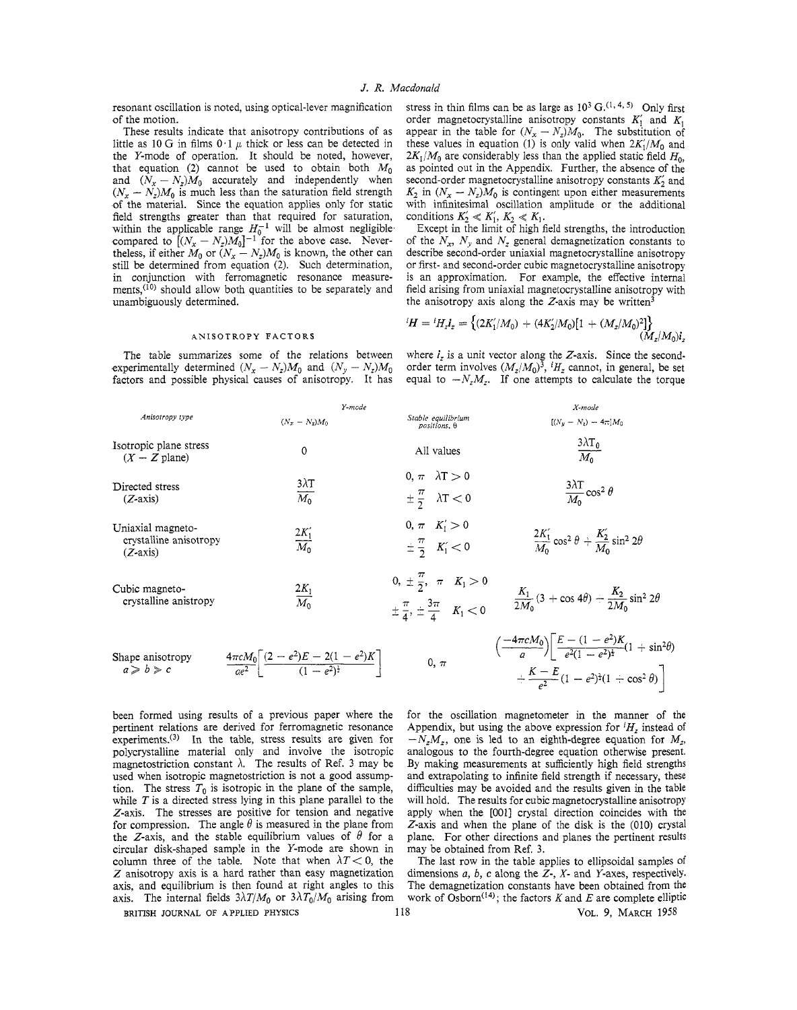resonant oscillation is noted, using optical-lever magnification of the motion.

These results indicate that anisotropy contributions of as little as 10 G in films  $0.1 \mu$  thick or less can be detected in the Y-mode of operation. It should be noted, however, that equation (2) cannot be used to obtain both  $M_0$ and  $(\hat{N}_x - N_z)\hat{M}_0$  accurately and independently when  $(N_x - N_z)M_0$  is much less than the saturation field strength -of the material. Since the equation applies only for static field strengths greater than that required for saturation, within the applicable range  $H_0^{-1}$  will be almost negligible compared to  $[(N_x - N_z)M_0]^{-1}$  for the above case. Nevercompared to  $[(N_x - N_z)M_0]^{-1}$  for the above case. Nevertheless, if either  $M_0$  or  $(N_x - N_z)M_0$  is known, the other can still be determined from equation *(2).* Such determination, in conjunction with ferromagnetic resonance measurements, $(10)$  should allow both quantities to be separately and unambiguously deternined.

stress in thin films can be as large as  $10^3$  G.<sup>(1, 4, 5)</sup> Only first order magnetocrystalline anisotropy constants  $K'_1$  and  $K_1$ appear in the table for  $(N_x - N_z)M_0$ . The substitution of these values in equation (1) is only valid when  $2K_1/M_0$  and  $2K_1/M_0$  are considerably less than the applied static field  $H_0$ , as pointed out in the Appendix. Further, the absence of the second-order magnetocrystalline anisotropy constants *K;* and  $K_2$  in  $(N_x - N_z)M_0$  is contingent upon either measurements with infinitesimal oscillation amplitude or the additional conditions  $K'_2 \ll K'_1, K_2 \ll K_1$ .

Except in the limit of h:gh field strengths, the introduction of the  $N_x$ ,  $N_y$  and  $N_z$  general demagnetization constants to describe second-order uniaxial magnetocrystalline anisotropy or first- and second-order cubic magnetocrystalline anisotropy is an approximation. For example, the effective internal field arising from uniaxial magnetocrystalline anisotropy with

#### **ANISOTROPY FACTORS**

the anisotropy axis along the Z-axis may be written<sup>3</sup><br>  ${}^{i}H = {}^{i}H_z I_z = \{(2K'_1/M_0) + (4K'_2/M_0)[1 + (M_z/M_0)^2]\}$ <br>  $(M_z/M_0)I_z$ 

The table summarizes some of the relations between experimentally determined  $(N_x - N_z)M_0$  and  $(N_y - N_z)M_0$ factors and possible physical causes of anisotropy. It has where  $i_z$  is a unit vector along the Z-axis. Since the secondorder term involves  $(M<sub>z</sub>/M<sub>0</sub>)<sup>3</sup>$ , <sup>*i*</sup>H<sub>z</sub> cannot, in general, be set equal to  $-N_zM_z$ . If one attempts to calculate the torque

|                                                           | x-moae                                                                                |                                                                                               | X-mode                                                                                                                                                                  |
|-----------------------------------------------------------|---------------------------------------------------------------------------------------|-----------------------------------------------------------------------------------------------|-------------------------------------------------------------------------------------------------------------------------------------------------------------------------|
| Anisotropy type                                           | $(N_x - N_z)M_0$                                                                      | Stable equilibrium<br>$positions, \theta$                                                     | $[(N_u - N_z) - 4\pi]M_0$                                                                                                                                               |
| Isotropic plane stress<br>$(X - Z$ plane)                 | 0                                                                                     | All values                                                                                    | $\frac{3\lambda T_0}{M_0}$                                                                                                                                              |
| Directed stress<br>$(Z-axis)$                             | $3\lambda T$<br>$\overline{M_0}$                                                      | $0. \pi \lambda T > 0$<br>$\pm \frac{\pi}{2}$ $\lambda$ T < 0                                 | $\frac{3\lambda T}{M_0}$ cos <sup>2</sup> $\theta$                                                                                                                      |
| Uniaxial magneto-<br>crystalline anisotropy<br>$(Z-axis)$ | $\frac{2K_1'}{M_0}$                                                                   | $0, \pi$ $K_1' > 0$<br>$\pm \frac{\pi}{2}$ $K_1' < 0$                                         | $\frac{2K_1}{M_2}\cos^2\theta + \frac{K_2}{M_2}\sin^2 2\theta$                                                                                                          |
| Cubic magneto-<br>crystalline anistropy                   | $\frac{2K_1}{M_0}$                                                                    | 0, $\pm \frac{\pi}{2}$ , $\pi$ $K_1 > 0$<br>$\pm \frac{\pi}{4}, \pm \frac{3\pi}{4}$ $K_1 < 0$ | $\frac{K_1}{2M_2}(3+\cos 4\theta) - \frac{K_2}{2M_2}\sin^2 2\theta$                                                                                                     |
| Shape anisotropy<br>$a \ge b \ge c$                       | $\frac{4\pi cM_0}{ae^2}\left[\frac{(2-e^2)E-2(1-e^2)K}{(1-e^2)^{\frac{1}{2}}}\right]$ | $0, \pi$                                                                                      | $\left(\frac{-4\pi cM_0}{a}\right)\left[\frac{E-(1-e^2)K}{e^2(1-e^2)^{\frac{1}{2}}} (1+\sin^2\theta)\right]$<br>$+\frac{K-E}{a^2}(1-e^2)^{\frac{1}{2}}(1-\cos^2\theta)$ |

been formed using results of a previous paper where the for the oscillation magnetometer in the manner of the pertinent relations are derived for ferromagnetic resonance Appendix, but using the above expression for  $H_z$  instead of experiments.<sup>(3)</sup> In the table, stress results are given for  $N_z$ , one is led to an eighth-degree eq experiments.<sup>(3)</sup> In the table, stress results are given for  $- N_z M_z$ , one is led to an eighth-degree equation for  $M_z$ , polycrystalline material only and involve the isotropic analogous to the fourth-degree equation other polycrystalline material only and involve the isotropic magnetostriction constant *h.* The results of Ref. 3 may be By making measurements at sufficiently high field strengths used when isotropic magnetostriction is not a good assump- and extrapolating to infinite field strength if necessary, these<br>tion. The stress  $T_0$  is isotropic in the plane of the sample, difficulties may be avoided and t tion. The stress  $T_0$  is isotropic in the plane of the sample, difficulties may be avoided and the results given in the table while  $T$  is a directed stress lying in this plane parallel to the will hold. The results for while *T* is a directed stress lying in this plane parallel to the will hold. The results for cubic magnetocrystalline anisotropy Z-axis. The stresses are positive for tension and negative apply when the [001] crystal dire Z-axis. The stresses are positive for tension and negative apply when the [001] crystal direction coincides with the for compression. The angle  $\theta$  is measured in the plane from Z-axis and when the plane of the disk is t the Z-axis, and the stable equilibrium values of  $\theta$  for a plane. For other directions a circular disk-shaped sample in the Y-mode are shown in may be obtained from Ref. 3. circular disk-shaped sample in the Y-mode are shown in column three of the table. Note that when  $\lambda T < 0$ , the The last row in the table applies to ellipsoidal samples of Z anisotropy axis is a hard rather than easy magnetization dimensions a, b, c along the Z-, X- and Y-axes Z anisotropy axis is a hard rather than easy magnetization axis, and equilibrium is then found at right angles to this axis. The internal fields  $3\lambda T/M_0$  or  $3\lambda T_0/M_0$  arising from work of Osborn<sup>(14)</sup>; the factors *K* and *E* are complete elliptic

*Z*-axis and when the plane of the disk is the (010) crystal plane. For other directions and planes the pertinent results

The demagnetization constants have been obtained from the

**BRITISH JOURNAL** OF **APPLIED PHYSICS** 118 **VOL.** 9, **MARCH** 1958